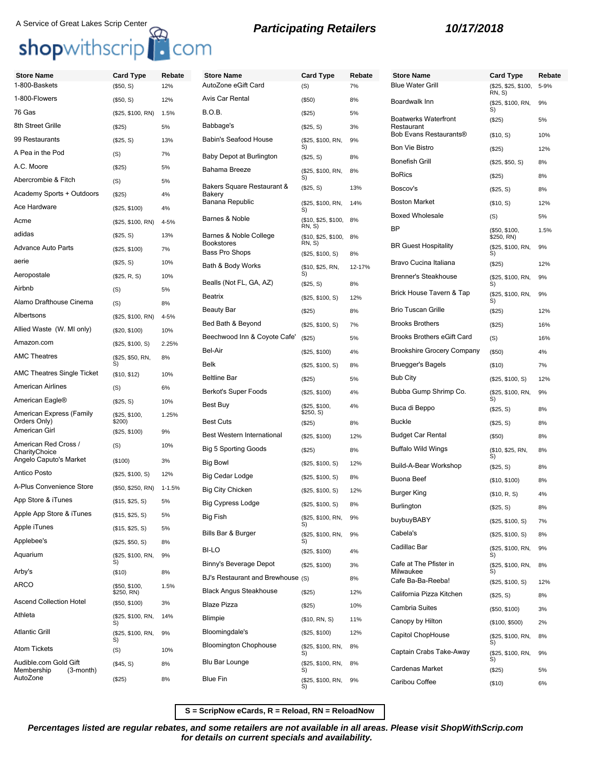# A Service of Great Lakes Scrip Center<br> **Shop**withscrip<sup>17</sup> COM<br> **Shop**withscrip<sup>17</sup> COM

| <b>Store Name</b>                                      | <b>Card Type</b>                      | Rebate     | <b>Store Name</b>                       | <b>Card Type</b>              | Rebate   |
|--------------------------------------------------------|---------------------------------------|------------|-----------------------------------------|-------------------------------|----------|
| 1-800-Baskets                                          | (\$50, S)                             | 12%        | AutoZone eGift Card                     | (S)                           | 7%       |
| 1-800-Flowers                                          | (\$50, S)                             | 12%        | Avis Car Rental                         | (\$50)                        | 8%       |
| 76 Gas                                                 | (\$25, \$100, RN)                     | 1.5%       | B.O.B.                                  | (S25)                         | 5%       |
| 8th Street Grille                                      | (\$25)                                | 5%         | Babbage's                               | (\$25, S)                     | 3%       |
| 99 Restaurants                                         | (\$25, S)                             | 13%        | Babin's Seafood House                   | (\$25, \$100, RN,<br>S)       | 9%       |
| A Pea in the Pod                                       | (S)                                   | 7%         | Baby Depot at Burlington                | (\$25, S)                     | 8%       |
| A.C. Moore                                             | (\$25)                                | 5%         | Bahama Breeze                           | (\$25, \$100, RN,             | 8%       |
| Abercrombie & Fitch                                    | (S)                                   | 5%         | Bakers Square Restaurant &              | S)<br>(\$25, S)               | 13%      |
| Academy Sports + Outdoors                              | (\$25)                                | 4%         | Bakery<br>Banana Republic               |                               |          |
| Ace Hardware                                           | (\$25, \$100)                         | 4%         |                                         | (\$25, \$100, RN,<br>S)       | 14%      |
| Acme                                                   | (\$25, \$100, RN)                     | 4-5%       | Barnes & Noble                          | (\$10, \$25, \$100,<br>RN, S) | 8%       |
| adidas                                                 | (\$25, S)                             | 13%        | Barnes & Noble College                  | (\$10, \$25, \$100,           | 8%       |
| <b>Advance Auto Parts</b>                              | (\$25, \$100)                         | 7%         | <b>Bookstores</b><br>Bass Pro Shops     | RN, S)<br>(\$25, \$100, S)    | 8%       |
| aerie                                                  | (\$25, S)                             | 10%        | Bath & Body Works                       | (\$10, \$25, RN,              | 12-17%   |
| Aeropostale                                            | (\$25, R, S)                          | 10%        | Bealls (Not FL, GA, AZ)                 | S)                            |          |
| Airbnb                                                 | (S)                                   | 5%         | <b>Beatrix</b>                          | (\$25, S)                     | 8%       |
| Alamo Drafthouse Cinema                                | (S)                                   | 8%         | <b>Beauty Bar</b>                       | (\$25, \$100, S)              | 12%      |
| Albertsons                                             | (\$25, \$100, RN)                     | 4-5%       | Bed Bath & Beyond                       | (S25)                         | 8%       |
| Allied Waste (W. MI only)                              | (\$20, \$100)                         | 10%        |                                         | (\$25, \$100, S)              | 7%       |
| Amazon.com                                             | (\$25, \$100, S)                      | 2.25%      | Beechwood Inn & Coyote Cafe'<br>Bel-Air | (\$25)                        | 5%       |
| <b>AMC Theatres</b>                                    | (\$25, \$50, RN,                      | 8%         | Belk                                    | (\$25, \$100)                 | 4%       |
| <b>AMC Theatres Single Ticket</b>                      | S)<br>(\$10, \$12)                    | 10%        | <b>Beltline Bar</b>                     | (\$25, \$100, S)<br>(S25)     | 8%<br>5% |
| American Airlines                                      | (S)                                   | 6%         | Berkot's Super Foods                    | (\$25, \$100)                 | 4%       |
| American Eagle <sup>®</sup>                            | (\$25, S)                             | 10%        | Best Buy                                | (\$25, \$100,                 | 4%       |
| American Express (Family                               | (\$25, \$100,                         | 1.25%      |                                         | \$250, S)                     |          |
| Orders Only)<br>American Girl                          | \$200)<br>(\$25, \$100)               | 9%         | <b>Best Cuts</b>                        | $(\$25)$                      | 8%       |
| American Red Cross /                                   | (S)                                   | 10%        | Best Western International              | (\$25, \$100)                 | 12%      |
| CharityChoice<br>Angelo Caputo's Market                | (\$100)                               | 3%         | <b>Big 5 Sporting Goods</b>             | (\$25)                        | 8%       |
| Antico Posto                                           |                                       | 12%        | Big Bowl                                | (\$25, \$100, S)              | 12%      |
| A-Plus Convenience Store                               | (\$25, \$100, S)<br>(\$50, \$250, RN) | $1 - 1.5%$ | Big Cedar Lodge                         | (\$25, \$100, S)              | 8%       |
| App Store & iTunes                                     |                                       | 5%         | <b>Big City Chicken</b>                 | (\$25, \$100, S)              | 12%      |
| Apple App Store & iTunes                               | (\$15, \$25, S)                       | 5%         | <b>Big Cypress Lodge</b>                | (\$25, \$100, S)              | 8%       |
| Apple iTunes                                           | (\$15, \$25, S)                       | 5%         | Big Fish                                | (\$25, \$100, RN,<br>S)       | 9%       |
| Applebee's                                             | (\$15, \$25, S)                       | 8%         | Bills Bar & Burger                      | (\$25, \$100, RN,<br>S)       | 9%       |
| Aquarium                                               | (\$25, \$50, S)                       |            | <b>BI-LO</b>                            | (\$25, \$100)                 | 4%       |
|                                                        | (\$25, \$100, RN,<br>S)               | 9%         | Binny's Beverage Depot                  | (\$25, \$100)                 | 3%       |
| Arby's                                                 | (\$10)                                | 8%         | BJ's Restaurant and Brewhouse (S)       |                               | 8%       |
| <b>ARCO</b>                                            | (\$50, \$100,<br>\$250, RN)           | 1.5%       | <b>Black Angus Steakhouse</b>           | (\$25)                        | 12%      |
| <b>Ascend Collection Hotel</b>                         | (\$50, \$100)                         | 3%         | <b>Blaze Pizza</b>                      | (\$25)                        | 10%      |
| Athleta                                                | (\$25, \$100, RN,<br>S)               | 14%        | Blimpie                                 | (\$10, RN, S)                 | 11%      |
| <b>Atlantic Grill</b>                                  | (\$25, \$100, RN,                     | 9%         | Bloomingdale's                          | (\$25, \$100)                 | 12%      |
| <b>Atom Tickets</b>                                    | S)<br>(S)                             | 10%        | <b>Bloomington Chophouse</b>            | (\$25, \$100, RN,             | 8%       |
| Audible.com Gold Gift<br>Membership<br>$(3$ -month $)$ | (\$45, S)                             | 8%         | Blu Bar Lounge                          | S)<br>(\$25, \$100, RN,<br>S) | 8%       |

AutoZone (\$25) 8%

| <b>Store Name</b>                         | <b>Card Type</b>              | Rebate |
|-------------------------------------------|-------------------------------|--------|
| <b>Blue Water Grill</b>                   | (\$25, \$25, \$100,<br>RN, S) | 5-9%   |
| Boardwalk Inn                             | (\$25, \$100, RN,<br>S)       | 9%     |
| <b>Boatwerks Waterfront</b><br>Restaurant | (\$25)                        | 5%     |
| Bob Evans Restaurants®                    | (\$10, S)                     | 10%    |
| <b>Bon Vie Bistro</b>                     | $(\$25)$                      | 12%    |
| <b>Bonefish Grill</b>                     | (\$25, \$50, S)               | 8%     |
| <b>BoRics</b>                             | (\$25)                        | 8%     |
| Boscov's                                  | (\$25, S)                     | 8%     |
| <b>Boston Market</b>                      | (\$10, S)                     | 12%    |
| <b>Boxed Wholesale</b>                    | (S)                           | 5%     |
| ВP                                        | (\$50, \$100,<br>\$250, RN)   | 1.5%   |
| <b>BR Guest Hospitality</b>               | (\$25, \$100, RN,<br>S)       | 9%     |
| Bravo Cucina Italiana                     | (\$25)                        | 12%    |
| <b>Brenner's Steakhouse</b>               | (\$25, \$100, RN,<br>S)       | 9%     |
| Brick House Tavern & Tap                  | (\$25, \$100, RN,<br>S)       | 9%     |
| <b>Brio Tuscan Grille</b>                 | $(\$25)$                      | 12%    |
| <b>Brooks Brothers</b>                    | $(\$25)$                      | 16%    |
| <b>Brooks Brothers eGift Card</b>         | (S)                           | 16%    |
| <b>Brookshire Grocery Company</b>         | $($ \$50)                     | 4%     |
| Bruegger's Bagels                         | (\$10)                        | 7%     |
| <b>Bub City</b>                           | (\$25, \$100, S)              | 12%    |
| Bubba Gump Shrimp Co.                     | (\$25, \$100, RN,<br>S)       | 9%     |
| Buca di Beppo                             | (\$25, S)                     | 8%     |
| <b>Buckle</b>                             | (\$25, S)                     | 8%     |
| <b>Budget Car Rental</b>                  | $(\$50)$                      | 8%     |
| <b>Buffalo Wild Wings</b>                 | (\$10, \$25, RN,<br>S)        | 8%     |
| Build-A-Bear Workshop                     | (\$25, S)                     | 8%     |
| Buona Beef                                | (\$10, \$100)                 | 8%     |
| Burger King                               | (\$10, R, S)                  | 4%     |
| Burlington                                | (\$25, S)                     | 8%     |
| buybuyBABY                                | (\$25, \$100, S)              | 7%     |
| Cabela's                                  | (\$25, \$100, S)              | 8%     |
| Cadillac Bar                              | (\$25, \$100, RN,<br>S)       | 9%     |
| Cafe at The Pfister in<br>Milwaukee       | (\$25, \$100, RN,<br>S)       | 8%     |
| Cafe Ba-Ba-Reeba!                         | (\$25, \$100, S)              | 12%    |
| California Pizza Kitchen                  | (\$25, S)                     | 8%     |
| Cambria Suites                            | (\$50, \$100)                 | 3%     |
| Canopy by Hilton                          | (\$100, \$500)                | 2%     |
| Capitol ChopHouse                         | (\$25, \$100, RN,<br>S)       | 8%     |
| Captain Crabs Take-Away                   | (\$25, \$100, RN,<br>S)       | 9%     |
| Cardenas Market                           | $(\$25)$                      | 5%     |
| Caribou Coffee                            | (\$10)                        | 6%     |

**S = ScripNow eCards, R = Reload, RN = ReloadNow**

Blue Fin (\$25, \$100, RN, 9%

S)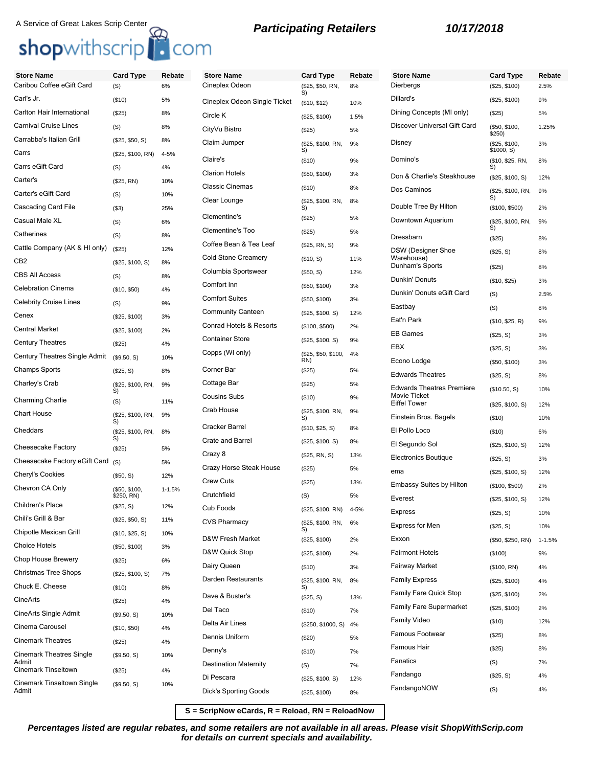# shopwithscrip<sup>1</sup>. com

# A Service of Great Lakes Scrip Center<br>**Participating Retailers 10/17/2018**

| <b>Store Name</b><br>Caribou Coffee eGift Card | <b>Card Type</b><br>(S)              | Rebate<br>6% | <b>Store Name</b><br>Cineplex Odeon | <b>Card Type</b><br>(\$25, \$50, RN, | Reb<br>8%      |
|------------------------------------------------|--------------------------------------|--------------|-------------------------------------|--------------------------------------|----------------|
| Carl's Jr.                                     | (\$10)                               | 5%           |                                     | S)                                   |                |
| Carlton Hair International                     | (\$25)                               | 8%           | Cineplex Odeon Single Ticket        | (\$10, \$12)                         | 10%            |
| <b>Carnival Cruise Lines</b>                   | (S)                                  | 8%           | Circle K                            | (\$25, \$100)                        | 1.5%           |
| Carrabba's Italian Grill                       |                                      |              | CityVu Bistro                       | (\$25)                               | 5%             |
| Carrs                                          | (\$25, \$50, S)<br>(\$25, \$100, RN) | 8%<br>4-5%   | Claim Jumper                        | (\$25, \$100, RN,<br>S)              | 9%             |
| Carrs eGift Card                               |                                      | 4%           | Claire's                            | (\$10)                               | 9%             |
| Carter's                                       | (S)                                  | 10%          | <b>Clarion Hotels</b>               | (\$50, \$100)                        | 3%             |
| Carter's eGift Card                            | (\$25, RN)<br>(S)                    | 10%          | <b>Classic Cinemas</b>              | (\$10)                               | 8%             |
| Cascading Card File                            | $($ \$3)                             | 25%          | Clear Lounge                        | (\$25, \$100, RN,<br>S)              | 8%             |
| Casual Male XL                                 | (S)                                  | 6%           | Clementine's                        | (\$25)                               | 5%             |
| Catherines                                     | (S)                                  | 8%           | Clementine's Too                    | (\$25)                               | 5%             |
| Cattle Company (AK & HI only)                  | (\$25)                               | 12%          | Coffee Bean & Tea Leaf              | (\$25, RN, S)                        | 9%             |
| CB <sub>2</sub>                                | (\$25, \$100, S)                     | 8%           | <b>Cold Stone Creamery</b>          | (\$10, S)                            | 11%            |
| <b>CBS All Access</b>                          | (S)                                  | 8%           | Columbia Sportswear                 | (\$50, S)                            | 12%            |
| <b>Celebration Cinema</b>                      | (\$10, \$50)                         | 4%           | Comfort Inn                         | (\$50, \$100)                        | 3%             |
| <b>Celebrity Cruise Lines</b>                  | (S)                                  | 9%           | <b>Comfort Suites</b>               | (\$50, \$100)                        | 3%             |
| Cenex                                          | (\$25, \$100)                        | 3%           | <b>Community Canteen</b>            | (\$25, \$100, S)                     | 12%            |
| <b>Central Market</b>                          | (\$25, \$100)                        | 2%           | Conrad Hotels & Resorts             | (\$100, \$500)                       | 2%             |
| <b>Century Theatres</b>                        | (\$25)                               | 4%           | <b>Container Store</b>              | (\$25, \$100, S)                     | 9%             |
| Century Theatres Single Admit                  | (\$9.50, S)                          | 10%          | Copps (WI only)                     | (\$25, \$50, \$100,                  | 4%             |
| <b>Champs Sports</b>                           | (\$25, S)                            | 8%           | Corner Bar                          | RN)<br>(\$25)                        | 5%             |
| Charley's Crab                                 | (\$25, \$100, RN,                    | 9%           | Cottage Bar                         | (\$25)                               | 5%             |
|                                                | S)                                   |              | <b>Cousins Subs</b>                 | (\$10)                               | 9%             |
| <b>Charming Charlie</b><br><b>Chart House</b>  | (S)                                  | 11%          | Crab House                          | (\$25, \$100, RN,                    | 9%             |
|                                                | (\$25, \$100, RN,<br>S)              | 9%           | Cracker Barrel                      | S)                                   |                |
| Cheddars                                       | (\$25, \$100, RN,<br>S)              | 8%           | Crate and Barrel                    | (\$10, \$25, S)                      | 8%             |
| Cheesecake Factory                             | (\$25)                               | 5%           | Crazy 8                             | (\$25, \$100, S)                     | 8%             |
| Cheesecake Factory eGift Card (S)              |                                      | 5%           | Crazy Horse Steak House             | (\$25, RN, S)                        | 13%            |
| <b>Cheryl's Cookies</b>                        | (\$50, S)                            | 12%          | <b>Crew Cuts</b>                    | (\$25)                               | 5%             |
| Chevron CA Only                                | (\$50, \$100,                        | $1 - 1.5%$   | Crutchfield                         | (\$25)                               | 13%            |
| Children's Place                               | \$250, RN)<br>(\$25, S)              | 12%          | Cub Foods                           | (S)                                  | 5%<br>$4 - 5%$ |
| Chili's Grill & Bar                            | (\$25, \$50, S)                      | 11%          | <b>CVS Pharmacy</b>                 | (\$25, \$100, RN)                    |                |
| Chipotle Mexican Grill                         | (\$10, \$25, S)                      | 10%          |                                     | (\$25, \$100, RN,<br>S)              | 6%             |
| <b>Choice Hotels</b>                           | (\$50, \$100)                        | 3%           | D&W Fresh Market                    | (\$25, \$100)                        | 2%             |
| Chop House Brewery                             | $(\$25)$                             | 6%           | D&W Quick Stop                      | (\$25, \$100)                        | 2%             |
| <b>Christmas Tree Shops</b>                    | (\$25, \$100, S)                     | 7%           | Dairy Queen                         | (\$10)                               | 3%             |
| Chuck E. Cheese                                | (\$10)                               | 8%           | Darden Restaurants                  | (\$25, \$100, RN,<br>S)              | 8%             |
| CineArts                                       | (\$25)                               | 4%           | Dave & Buster's                     | (\$25, S)                            | 13%            |
| CineArts Single Admit                          | (\$9.50, S)                          | 10%          | Del Taco                            | (\$10)                               | 7%             |
| Cinema Carousel                                | (\$10, \$50)                         | 4%           | Delta Air Lines                     | (\$250, \$1000, S)                   | 4%             |
| <b>Cinemark Theatres</b>                       | (\$25)                               | 4%           | Dennis Uniform                      | (\$20)                               | 5%             |
| <b>Cinemark Theatres Single</b>                | (\$9.50, S)                          | 10%          | Denny's                             | (\$10)                               | 7%             |
| Admit<br><b>Cinemark Tinseltown</b>            | $(\$25)$                             | 4%           | <b>Destination Maternity</b>        | (S)                                  | 7%             |
|                                                |                                      |              |                                     |                                      |                |

(\$9.50, S) 10%

Cinemark Tinseltown Single

Admit

| <b>Card Type</b>        | Rebate | <b>Store Name</b>                                | <b>Card Type</b>            | Rebate     |
|-------------------------|--------|--------------------------------------------------|-----------------------------|------------|
| (\$25, \$50, RN,<br>S)  | 8%     | <b>Dierbergs</b>                                 | (\$25, \$100)               | 2.5%       |
| (\$10, \$12)            | 10%    | Dillard's                                        | (\$25, \$100)               | 9%         |
| (\$25, \$100)           | 1.5%   | Dining Concepts (MI only)                        | (\$25)                      | 5%         |
| $(\$25)$                | 5%     | Discover Universal Gift Card                     | (\$50, \$100,<br>\$250)     | 1.25%      |
| (\$25, \$100, RN,<br>S) | 9%     | Disney                                           | (\$25, \$100,<br>\$1000, S) | 3%         |
| (\$10)                  | 9%     | Domino's                                         | (\$10, \$25, RN,<br>S)      | 8%         |
| (\$50, \$100)           | 3%     | Don & Charlie's Steakhouse                       | (\$25, \$100, S)            | 12%        |
| (\$10)                  | 8%     | Dos Caminos                                      | (\$25, \$100, RN,<br>S)     | 9%         |
| (\$25, \$100, RN,<br>S) | 8%     | Double Tree By Hilton                            | (\$100, \$500)              | 2%         |
| (\$25)                  | 5%     | Downtown Aquarium                                | (\$25, \$100, RN,           | 9%         |
| (\$25)                  | 5%     | Dressbarn                                        | S)<br>(\$25)                | 8%         |
| (\$25, RN, S)           | 9%     | DSW (Designer Shoe                               | (\$25, S)                   | 8%         |
| (\$10, S)               | 11%    | Warehouse)<br>Dunham's Sports                    |                             |            |
| (\$50, S)               | 12%    | Dunkin' Donuts                                   | (\$25)                      | 8%         |
| (\$50, \$100)           | 3%     |                                                  | (\$10, \$25)                | 3%         |
| (\$50, \$100)           | 3%     | Dunkin' Donuts eGift Card                        | (S)                         | 2.5%       |
| (\$25, \$100, S)        | 12%    | Eastbay                                          | (S)                         | 8%         |
| (\$100, \$500)          | 2%     | Eat'n Park                                       | (\$10, \$25, R)             | 9%         |
| (\$25, \$100, S)        | 9%     | <b>EB Games</b>                                  | (\$25, S)                   | 3%         |
| (\$25, \$50, \$100,     | 4%     | EBX                                              | (\$25, S)                   | 3%         |
| RN)<br>(\$25)           | 5%     | Econo Lodge                                      | (\$50, \$100)               | 3%         |
| (\$25)                  | 5%     | <b>Edwards Theatres</b>                          | (\$25, S)                   | 8%         |
| (\$10)                  | 9%     | <b>Edwards Theatres Premiere</b><br>Movie Ticket | (\$10.50, S)                | 10%        |
| (\$25, \$100, RN,       | 9%     | <b>Eiffel Tower</b>                              | (\$25, \$100, S)            | 12%        |
| S)<br>(\$10, \$25, S)   | 8%     | Einstein Bros. Bagels                            | (\$10)                      | 10%        |
| (\$25, \$100, S)        | 8%     | El Pollo Loco                                    | $($ \$10)                   | 6%         |
| (\$25, RN, S)           | 13%    | El Segundo Sol                                   | (\$25, \$100, S)            | 12%        |
| $(\$25)$                | 5%     | <b>Electronics Boutique</b>                      | (\$25, S)                   | 3%         |
| (S25)                   | 13%    | ema                                              | (\$25, \$100, S)            | 12%        |
|                         |        | <b>Embassy Suites by Hilton</b>                  | (\$100, \$500)              | 2%         |
| (S)                     | 5%     | Everest                                          | (\$25, \$100, S)            | 12%        |
| (\$25, \$100, RN)       | 4-5%   | <b>Express</b>                                   | (\$25, S)                   | 10%        |
| (\$25, \$100, RN,<br>S) | 6%     | <b>Express for Men</b>                           | (\$25, S)                   | 10%        |
| (\$25, \$100)           | 2%     | Exxon                                            | (\$50, \$250, RN)           | $1 - 1.5%$ |
| (\$25, \$100)           | 2%     | <b>Fairmont Hotels</b>                           | (\$100)                     | 9%         |
| (\$10)                  | 3%     | <b>Fairway Market</b>                            | (\$100, RN)                 | 4%         |
| (\$25, \$100, RN,<br>S) | 8%     | <b>Family Express</b>                            | (\$25, \$100)               | 4%         |
| (\$25, S)               | 13%    | Family Fare Quick Stop                           | (\$25, \$100)               | 2%         |
| (\$10)                  | 7%     | Family Fare Supermarket                          | (\$25, \$100)               | 2%         |
| (\$250, \$1000, S)      | 4%     | Family Video                                     | (\$10)                      | 12%        |
| (\$20)                  | 5%     | Famous Footwear                                  | (\$25)                      | 8%         |
| (\$10)                  | 7%     | Famous Hair                                      | (\$25)                      | 8%         |
| (S)                     | 7%     | Fanatics                                         | (S)                         | 7%         |
| (\$25, \$100, S)        | 12%    | Fandango                                         | (\$25, S)                   | 4%         |
| (\$25, \$100)           | 8%     | FandangoNOW                                      | (S)                         | 4%         |
|                         |        |                                                  |                             |            |

**S = ScripNow eCards, R = Reload, RN = ReloadNow**

**Percentages listed are regular rebates, and some retailers are not available in all areas. Please visit ShopWithScrip.com for details on current specials and availability.**

Di Pescara (\$25, \$100, S) Dick's Sporting Goods (\$25, \$100)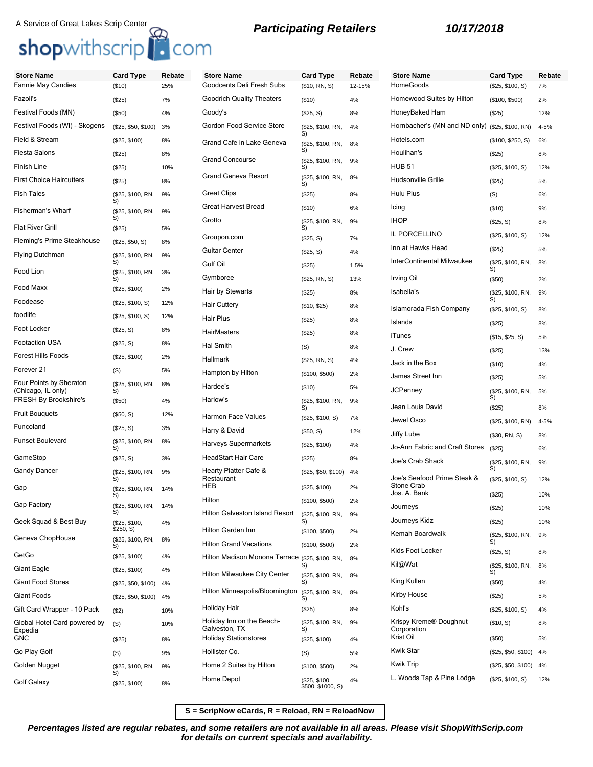# A Service of Great Lakes Scrip Center **Participating Retailers 10/17/2018**<br> **Shop**withscrip **C**om

| <b>Store Name</b>                             | <b>Card Type</b>           | Rebate | <b>Store Name</b>                               | <b>Card Type</b>                   | Rebate | <b>Store Name</b>                               | <b>Card Type</b>        | Rebate   |
|-----------------------------------------------|----------------------------|--------|-------------------------------------------------|------------------------------------|--------|-------------------------------------------------|-------------------------|----------|
| Fannie May Candies                            | (\$10)                     | 25%    | Goodcents Deli Fresh Subs                       | (\$10, RN, S)                      | 12-15% | HomeGoods                                       | (\$25, \$100, S)        | 7%       |
| Fazoli's                                      | (\$25)                     | 7%     | <b>Goodrich Quality Theaters</b>                | ( \$10)                            | 4%     | Homewood Suites by Hilton                       | (\$100, \$500)          | 2%       |
| Festival Foods (MN)                           | (\$50)                     | 4%     | Goody's                                         | (\$25, S)                          | 8%     | HoneyBaked Ham                                  | (\$25)                  | 12%      |
| Festival Foods (WI) - Skogens                 | (\$25, \$50, \$100)        | 3%     | Gordon Food Service Store                       | (\$25, \$100, RN,<br>S)            | 4%     | Hornbacher's (MN and ND only) (\$25, \$100, RN) |                         | $4 - 5%$ |
| Field & Stream                                | (\$25, \$100)              | 8%     | Grand Cafe in Lake Geneva                       | (\$25, \$100, RN,                  | 8%     | Hotels.com                                      | (\$100, \$250, S)       | 6%       |
| Fiesta Salons                                 | (\$25)                     | 8%     | <b>Grand Concourse</b>                          | S)<br>(\$25, \$100, RN,            | 9%     | Houlihan's                                      | (\$25)                  | 8%       |
| Finish Line                                   | (\$25)                     | 10%    |                                                 | S)                                 |        | <b>HUB 51</b>                                   | (\$25, \$100, S)        | 12%      |
| <b>First Choice Haircutters</b>               | (\$25)                     | 8%     | <b>Grand Geneva Resort</b>                      | (\$25, \$100, RN,<br>S)            | 8%     | Hudsonville Grille                              | (\$25)                  | 5%       |
| Fish Tales                                    | (\$25, \$100, RN,<br>S)    | 9%     | <b>Great Clips</b>                              | (\$25)                             | 8%     | Hulu Plus                                       | (S)                     | 6%       |
| Fisherman's Wharf                             | (\$25, \$100, RN,          | 9%     | <b>Great Harvest Bread</b>                      | (\$10)                             | 6%     | Icing                                           | (\$10)                  | 9%       |
| <b>Flat River Grill</b>                       | S)<br>(\$25)               | 5%     | Grotto                                          | (\$25, \$100, RN,<br>S)            | 9%     | <b>IHOP</b>                                     | (\$25, S)               | 8%       |
| Fleming's Prime Steakhouse                    | (\$25, \$50, S)            | 8%     | Groupon.com                                     | (\$25, S)                          | 7%     | IL PORCELLINO                                   | (\$25, \$100, S)        | 12%      |
| Flying Dutchman                               | (\$25, \$100, RN,          | 9%     | <b>Guitar Center</b>                            | (\$25, S)                          | 4%     | Inn at Hawks Head                               | (\$25)                  | 5%       |
|                                               | S)                         |        | Gulf Oil                                        | (\$25)                             | 1.5%   | InterContinental Milwaukee                      | (\$25, \$100, RN,<br>S) | 8%       |
| Food Lion                                     | (\$25, \$100, RN,<br>S)    | 3%     | Gymboree                                        | (\$25, RN, S)                      | 13%    | Irving Oil                                      | (\$50)                  | 2%       |
| Food Maxx                                     | (\$25, \$100)              | 2%     | Hair by Stewarts                                | (\$25)                             | 8%     | Isabella's                                      | (\$25, \$100, RN,       | 9%       |
| Foodease                                      | (\$25, \$100, S)           | 12%    | <b>Hair Cuttery</b>                             | (\$10, \$25)                       | 8%     | Islamorada Fish Company                         | S)<br>(\$25, \$100, S)  | 8%       |
| foodlife                                      | (\$25, \$100, S)           | 12%    | Hair Plus                                       | (\$25)                             | 8%     | Islands                                         | (\$25)                  | 8%       |
| Foot Locker                                   | (\$25, S)                  | 8%     | <b>HairMasters</b>                              | (\$25)                             | 8%     | iTunes                                          | (\$15, \$25, S)         | 5%       |
| Footaction USA                                | (\$25, S)                  | 8%     | Hal Smith                                       | (S)                                | 8%     | J. Crew                                         | (\$25)                  | 13%      |
| Forest Hills Foods                            | (\$25, \$100)              | 2%     | Hallmark                                        | (\$25, RN, S)                      | 4%     | Jack in the Box                                 | (\$10)                  | 4%       |
| Forever 21                                    | (S)                        | 5%     | Hampton by Hilton                               | (\$100, \$500)                     | 2%     | James Street Inn                                | (\$25)                  | 5%       |
| Four Points by Sheraton<br>(Chicago, IL only) | (\$25, \$100, RN,<br>S)    | 8%     | Hardee's                                        | ( \$10)                            | 5%     | <b>JCPenney</b>                                 | (\$25, \$100, RN,       | 5%       |
| <b>FRESH By Brookshire's</b>                  | (\$50)                     | 4%     | Harlow's                                        | (\$25, \$100, RN,<br>S)            | 9%     | Jean Louis David                                | S)<br>(\$25)            | 8%       |
| Fruit Bouquets                                | (\$50, S)                  | 12%    | Harmon Face Values                              | (\$25, \$100, S)                   | 7%     | Jewel Osco                                      | (\$25, \$100, RN)       | $4 - 5%$ |
| Funcoland                                     | (\$25, S)                  | 3%     | Harry & David                                   | (\$50, S)                          | 12%    | Jiffy Lube                                      | (\$30, RN, S)           | 8%       |
| Funset Boulevard                              | (\$25, \$100, RN,<br>S)    | 8%     | Harveys Supermarkets                            | (\$25, \$100)                      | 4%     | Jo-Ann Fabric and Craft Stores                  | (\$25)                  | 6%       |
| GameStop                                      | (\$25, S)                  | 3%     | <b>HeadStart Hair Care</b>                      | (\$25)                             | 8%     | Joe's Crab Shack                                | (\$25, \$100, RN,       | 9%       |
| <b>Gandy Dancer</b>                           | (\$25, \$100, RN,<br>S)    | 9%     | Hearty Platter Cafe &<br>Restaurant             | (\$25, \$50, \$100)                | 4%     | Joe's Seafood Prime Steak &                     | S)<br>(\$25, \$100, S)  | 12%      |
| Gap                                           | (\$25, \$100, RN,          | 14%    | <b>HEB</b>                                      | (\$25, \$100)                      | 2%     | Stone Crab<br>Jos. A. Bank                      |                         |          |
| Gap Factory                                   | S)<br>(\$25, \$100, RN,    | 14%    | Hilton                                          | (\$100, \$500)                     | 2%     |                                                 | (\$25)                  | 10%      |
|                                               | S)                         |        | Hilton Galveston Island Resort                  | (\$25, \$100, RN,                  | 9%     | Journeys                                        | (\$25)                  | 10%      |
| Geek Squad & Best Buy                         | (\$25, \$100,<br>\$250, S) | 4%     | Hilton Garden Inn                               | S)<br>(\$100, \$500)               | 2%     | Journeys Kidz                                   | (\$25)                  | 10%      |
| Geneva ChopHouse                              | (\$25, \$100, RN,<br>S)    | 8%     | <b>Hilton Grand Vacations</b>                   | (\$100, \$500)                     | 2%     | Kemah Boardwalk                                 | (\$25, \$100, RN,<br>S) | 9%       |
| GetGo                                         | (\$25, \$100)              | 4%     | Hilton Madison Monona Terrace (\$25, \$100, RN, |                                    | 8%     | Kids Foot Locker                                | (\$25, S)               | 8%       |
| Giant Eagle                                   | (\$25, \$100)              | 4%     | Hilton Milwaukee City Center                    | S)<br>(\$25, \$100, RN,            | 8%     | Kil@Wat                                         | (\$25, \$100, RN,<br>S) | 8%       |
| <b>Giant Food Stores</b>                      | (\$25, \$50, \$100)        | 4%     |                                                 | S)                                 |        | King Kullen                                     | (\$50)                  | 4%       |
| Giant Foods                                   | (\$25, \$50, \$100)        | 4%     | Hilton Minneapolis/Bloomington                  | (\$25, \$100, RN,<br>S)            | 8%     | Kirby House                                     | (\$25)                  | 5%       |
| Gift Card Wrapper - 10 Pack                   | (\$2)                      | 10%    | Holiday Hair                                    | (\$25)                             | 8%     | Kohl's                                          | (\$25, \$100, S)        | 4%       |
| Global Hotel Card powered by<br>Expedia       | (S)                        | 10%    | Holiday Inn on the Beach-<br>Galveston, TX      | (\$25, \$100, RN,<br>S)            | 9%     | Krispy Kreme® Doughnut<br>Corporation           | (\$10, S)               | 8%       |
| <b>GNC</b>                                    | (\$25)                     | 8%     | <b>Holiday Stationstores</b>                    | (\$25, \$100)                      | 4%     | Krist Oil                                       | (\$50)                  | 5%       |
| Go Play Golf                                  | (S)                        | 9%     | Hollister Co.                                   | (S)                                | 5%     | <b>Kwik Star</b>                                | $($25, $50, $100)$ 4%   |          |
| Golden Nugget                                 | (\$25, \$100, RN,          | 9%     | Home 2 Suites by Hilton                         | (\$100, \$500)                     | 2%     | <b>Kwik Trip</b>                                | $($25, $50, $100)$ 4%   |          |
| Golf Galaxy                                   | S)<br>(\$25, \$100)        | 8%     | Home Depot                                      | (\$25, \$100,<br>\$500, \$1000, S) | 4%     | L. Woods Tap & Pine Lodge                       | (\$25, \$100, S)        | 12%      |

**S = ScripNow eCards, R = Reload, RN = ReloadNow**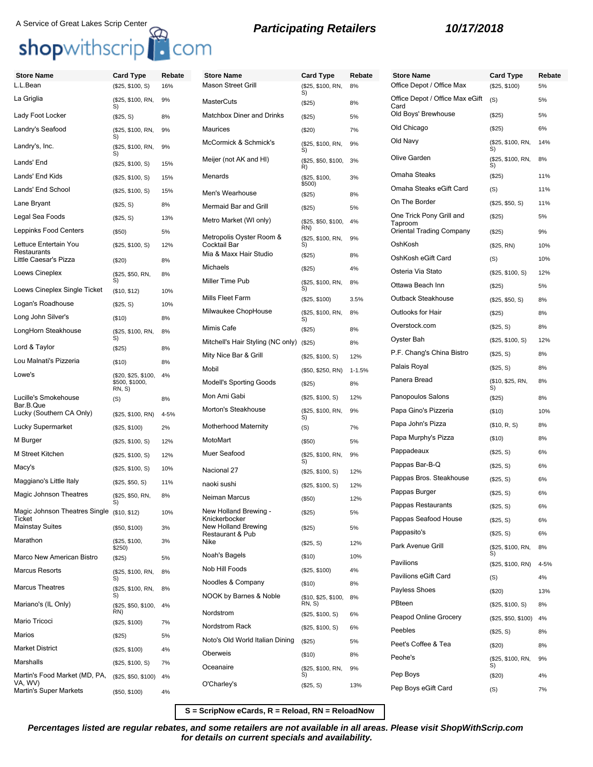# shopwithscrip<sup>1</sup> com

# **Store Name Card Type Rebate** L.L.Bean (\$25, \$100, S) 16% La Griglia (\$25, \$100, RN, S) 9% Lady Foot Locker (\$25, S) 8% Landry's Seafood (\$25, \$100, RN, S) 9% Landry's, Inc. (\$25, \$100, RN, S) 9% Lands' End (\$25, \$100, S) 15% Lands' End Kids (\$25, \$100, S) 15% Lands' End School (\$25, \$100, S) 15% Lane Bryant (\$25, S) 8% Legal Sea Foods (\$25, S) 13% Leppinks Food Centers (\$50) 5% Lettuce Entertain You **Restaurants** (\$25, \$100, S) 12% Little Caesar's Pizza (\$20) 8% Loews Cineplex (\$25, \$50, RN, S) 8% Loews Cineplex Single Ticket (\$10, \$12) 10% Logan's Roadhouse (\$25, S) 10% Long John Silver's (\$10) 8% LongHorn Steakhouse (\$25, \$100, RN,<br>S) 8% Lord & Taylor (\$25) 8% Lou Malnati's Pizzeria (\$10) 8% Lowe's (\$20, \$25, \$100, \$500, \$1000, RN, S) 4% Lucille's Smokehouse Bar.B.Que  $( S)$  8% Lucky (Southern CA Only) (\$25, \$100, RN) 4-5% Lucky Supermarket (\$25, \$100) 2% M Burger (\$25, \$100, S) 12% M Street Kitchen (\$25, \$100, S) 12% Macy's (\$25, \$100, S) 10% Maggiano's Little Italy (\$25, \$50, S) 11% Magic Johnson Theatres (\$25, \$50, RN, S) 8% Magic Johnson Theatres Single **Ticket** (\$10, \$12) 10% Mainstay Suites (\$50, \$100) 3% Marathon (\$25, \$100,  $$250$ 3% Marco New American Bistro (\$25) 5% Marcus Resorts (\$25, \$100, RN, S) 8% Marcus Theatres (\$25, \$100, RN, S) 8% Mariano's (IL Only) (\$25, \$50, \$100, RN) 4% Mario Tricoci (\$25, \$100) 7% Marios (\$25) 5% Market District (\$25, \$100) 4% Marshalls (\$25, \$100, S) 7% Martin's Food Market (MD, PA, VA, WV) (\$25, \$50, \$100) 4% Martin's Super Markets (\$50, \$100) 4% Oberweis (\$10) 8% Oceanaire (\$25, \$100, RN, O'Charley's (\$25, S) 13%

# **Store Name Card Type Rebate** Mason Street Grill (\$25, \$100, RN, S) 8% MasterCuts (\$25) 8% Matchbox Diner and Drinks (\$25) 5% Maurices (\$20) 7% McCormick & Schmick's (\$25, \$100, RN, S) 9% Meijer (not AK and HI) (\$25, \$50, \$100, R) 3% Menards (\$25, \$100, \$500) 3% Men's Wearhouse (\$25) 8% Mermaid Bar and Grill (\$25) 5% Metro Market (WI only) (\$25, \$50, \$100, RN) 4% Metropolis Oyster Room & Cocktail Bar (\$25, \$100, RN, S) 9% Mia & Maxx Hair Studio (\$25) 8% Michaels (\$25) 4% Miller Time Pub (\$25, \$100, RN, S) 8% Mills Fleet Farm (\$25, \$100) 3.5% Milwaukee ChopHouse (\$25, \$100, RN, S) 8% Mimis Cafe (\$25) 8% Mitchell's Hair Styling (NC only) (\$25) 8% Mity Nice Bar & Grill (\$25, \$100, S) 12% Mobil (\$50, \$250, RN) 1-1.5% Modell's Sporting Goods (\$25) 8% Mon Ami Gabi (\$25, \$100, S) 12% Morton's Steakhouse  $($25, $100, RN,$ 9% Motherhood Maternity (S) 7%  $\mathsf{MotorMart}$  (\$50) 5% Muer Seafood (\$25, \$100, RN, S) 9% Nacional 27 (\$25, \$100, S) 12% naoki sushi (\$25, \$100, S) 12% Neiman Marcus (\$50) 12% New Holland Brewing - Knickerbocker (\$25) 5% New Holland Brewing Restaurant & Pub (\$25) 5%  $(S25, S)$  12% Noah's Bagels (\$10) 10% Nob Hill Foods (\$25, \$100) 4% Noodles & Company (\$10) 8% NOOK by Barnes & Noble (\$10, \$25, \$100, RN, S) 8% Nordstrom (\$25, \$100, S) 6% Nordstrom Rack (\$25, \$100, S) 6% Noto's Old World Italian Dining (\$25) 5%

# **Store Name Card Type Rebate** Office Depot / Office Max (\$25, \$100) 5% Office Depot / Office Max eGift Card  $($ S) 5% Old Boys' Brewhouse (\$25) 5% Old Chicago (\$25) 6% Old Navy (\$25, \$100, RN, S) 14% Olive Garden (\$25, \$100, RN, S) 8% Omaha Steaks (\$25) 11% Omaha Steaks eGift Card (S) 11% On The Border (\$25, \$50, S) 11% One Trick Pony Grill and Taproom (\$25) 5% Oriental Trading Company (\$25) 9% OshKosh (\$25, RN) 10% OshKosh eGift Card (S) 10% Osteria Via Stato (\$25, \$100, S) 12% Ottawa Beach Inn (\$25) 5% Outback Steakhouse (\$25, \$50, S) 8% Outlooks for Hair (\$25) 8% Overstock.com (\$25, S) 8% Oyster Bah (\$25, \$100, S) 12% P.F. Chang's China Bistro (\$25, S) 8% Palais Royal (\$25, S) 8% Panera Bread (\$10, \$25, RN, S) 8% Panopoulos Salons (\$25) 8% Papa Gino's Pizzeria (\$10) 10% Papa John's Pizza (\$10, R, S) 8% Papa Murphy's Pizza (\$10) 8% Pappadeaux (\$25, S) 6% Pappas Bar-B-Q (\$25, S) 6% Pappas Bros. Steakhouse (\$25, S) 6% Pappas Burger (\$25, S) 6% Pappas Restaurants (\$25, S) 6% Pappas Seafood House (\$25, S) 6% Pappasito's (\$25, S) 6% Park Avenue Grill (\$25, \$100, RN, S) 8% Pavilions (\$25, \$100, RN) 4-5% Pavilions eGift Card (S) 4% Payless Shoes (\$20) 13% PBteen (\$25, \$100, S) 8% Peapod Online Grocery (\$25, \$50, \$100) 4% Peebles (\$25, S) 8% Peet's Coffee & Tea (\$20) 8% Peohe's (\$25, \$100, RN, S) 9% Pep Boys (\$20) 4% Pep Boys eGift Card (S) 7%

**S = ScripNow eCards, R = Reload, RN = ReloadNow**

S)

9%

**Percentages listed are regular rebates, and some retailers are not available in all areas. Please visit ShopWithScrip.com for details on current specials and availability.**

# **Participating Retailers 10/17/2018** A Service of Great Lakes Scrip Center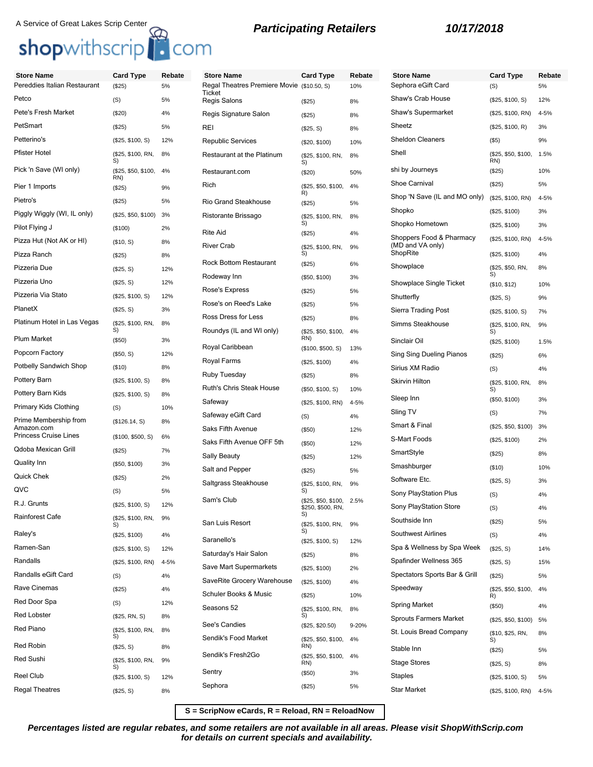# A Service of Great Lakes Scrip Center **Carries and A Service of Great Lakes Scrip Center**<br> **Shopwithscrip** Com

| <b>Store Name</b>                   | <b>Card Type</b>           | Rebate | <b>Store Name</b>                                    | <b>Card Type</b>                               | Rebate    | <b>Store Name</b>                            | <b>Card Type</b>           | Rebate |
|-------------------------------------|----------------------------|--------|------------------------------------------------------|------------------------------------------------|-----------|----------------------------------------------|----------------------------|--------|
| Pereddies Italian Restaurant        | (\$25)                     | 5%     | Regal Theatres Premiere Movie (\$10.50, S)<br>Ticket |                                                | 10%       | Sephora eGift Card                           | (S)                        | 5%     |
| Petco                               | (S)                        | 5%     | Regis Salons                                         | (\$25)                                         | 8%        | Shaw's Crab House                            | (\$25, \$100, S)           | 12%    |
| Pete's Fresh Market                 | (\$20)                     | 4%     | Regis Signature Salon                                | (\$25)                                         | 8%        | Shaw's Supermarket                           | (\$25, \$100, RN)          | 4-5%   |
| PetSmart                            | (\$25)                     | 5%     | REI                                                  | (\$25, S)                                      | 8%        | Sheetz                                       | (\$25, \$100, R)           | 3%     |
| Petterino's                         | (\$25, \$100, S)           | 12%    | <b>Republic Services</b>                             | (\$20, \$100)                                  | 10%       | <b>Sheldon Cleaners</b>                      | $($ \$5)                   | 9%     |
| <b>Pfister Hotel</b>                | (\$25, \$100, RN,<br>S)    | 8%     | Restaurant at the Platinum                           | (\$25, \$100, RN,<br>S)                        | 8%        | Shell                                        | (\$25, \$50, \$100,<br>RN) | 1.5%   |
| Pick 'n Save (WI only)              | (\$25, \$50, \$100,<br>RN) | 4%     | Restaurant.com                                       | (\$20)                                         | 50%       | shi by Journeys                              | (\$25)                     | 10%    |
| Pier 1 Imports                      | (\$25)                     | 9%     | Rich                                                 | (\$25, \$50, \$100,<br>R)                      | 4%        | Shoe Carnival                                | (\$25)                     | 5%     |
| Pietro's                            | (\$25)                     | 5%     | Rio Grand Steakhouse                                 | (\$25)                                         | 5%        | Shop 'N Save (IL and MO only)                | (\$25, \$100, RN)          | 4-5%   |
| Piggly Wiggly (WI, IL only)         | (\$25, \$50, \$100)        | 3%     | Ristorante Brissago                                  | (\$25, \$100, RN,                              | 8%        | Shopko                                       | (\$25, \$100)              | 3%     |
| Pilot Flying J                      | (\$100)                    | 2%     | <b>Rite Aid</b>                                      | S)<br>(\$25)                                   | 4%        | Shopko Hometown                              | (\$25, \$100)              | 3%     |
| Pizza Hut (Not AK or HI)            | (\$10, S)                  | 8%     | <b>River Crab</b>                                    | (\$25, \$100, RN,                              | 9%        | Shoppers Food & Pharmacy<br>(MD and VA only) | (\$25, \$100, RN)          | 4-5%   |
| Pizza Ranch                         | (\$25)                     | 8%     |                                                      | S)                                             |           | ShopRite                                     | (\$25, \$100)              | 4%     |
| Pizzeria Due                        | (\$25, S)                  | 12%    | <b>Rock Bottom Restaurant</b>                        | (\$25)                                         | 6%        | Showplace                                    | (\$25, \$50, RN,           | 8%     |
| Pizzeria Uno                        | (\$25, S)                  | 12%    | Rodeway Inn                                          | (\$50, \$100)                                  | 3%        | <b>Showplace Single Ticket</b>               | S)<br>(\$10, \$12)         | 10%    |
| Pizzeria Via Stato                  | (\$25, \$100, S)           | 12%    | Rose's Express                                       | (\$25)                                         | 5%        | Shutterfly                                   | (\$25, S)                  | 9%     |
| PlanetX                             | (\$25, S)                  | 3%     | Rose's on Reed's Lake                                | (\$25)                                         | 5%        | Sierra Trading Post                          | (\$25, \$100, S)           | 7%     |
| Platinum Hotel in Las Vegas         | (\$25, \$100, RN,          | 8%     | Ross Dress for Less                                  | (\$25)                                         | 8%        | Simms Steakhouse                             | (\$25, \$100, RN,          | 9%     |
| <b>Plum Market</b>                  | S)                         |        | Roundys (IL and WI only)                             | (\$25, \$50, \$100,<br>RN)                     | 4%        |                                              | S)                         |        |
|                                     | (\$50)                     | 3%     | Royal Caribbean                                      | (\$100, \$500, S)                              | 13%       | Sinclair Oil                                 | (\$25, \$100)              | 1.5%   |
| Popcorn Factory                     | (\$50, S)                  | 12%    | Royal Farms                                          | (\$25, \$100)                                  | 4%        | Sing Sing Dueling Pianos                     | (\$25)                     | 6%     |
| Potbelly Sandwich Shop              | (\$10)                     | 8%     | Ruby Tuesday                                         | (\$25)                                         | 8%        | Sirius XM Radio                              | (S)                        | 4%     |
| Pottery Barn                        | (\$25, \$100, S)           | 8%     | Ruth's Chris Steak House                             | (\$50, \$100, S)                               | 10%       | <b>Skirvin Hilton</b>                        | (\$25, \$100, RN,<br>S)    | 8%     |
| Pottery Barn Kids                   | (\$25, \$100, S)           | 8%     | Safeway                                              | (\$25, \$100, RN)                              | 4-5%      | Sleep Inn                                    | (\$50, \$100)              | 3%     |
| Primary Kids Clothing               | (S)                        | 10%    | Safeway eGift Card                                   | (S)                                            | 4%        | Sling TV                                     | (S)                        | 7%     |
| Prime Membership from<br>Amazon.com | (\$126.14, S)              | 8%     | Saks Fifth Avenue                                    | (\$50)                                         | 12%       | Smart & Final                                | (\$25, \$50, \$100)        | 3%     |
| Princess Cruise Lines               | (\$100, \$500, S)          | 6%     | Saks Fifth Avenue OFF 5th                            | (\$50)                                         | 12%       | S-Mart Foods                                 | (\$25, \$100)              | 2%     |
| <b>Qdoba Mexican Grill</b>          | (\$25)                     | 7%     | <b>Sally Beauty</b>                                  | (\$25)                                         | 12%       | SmartStyle                                   | (\$25)                     | 8%     |
| Quality Inn                         | (\$50, \$100)              | 3%     | Salt and Pepper                                      |                                                |           | Smashburger                                  | (\$10)                     | 10%    |
| Quick Chek                          | (\$25)                     | 2%     | Saltgrass Steakhouse                                 | (\$25)                                         | 5%        | Software Etc.                                | (\$25, S)                  | 3%     |
| QVC                                 | (S)                        | 5%     |                                                      | (\$25, \$100, RN,<br>S)                        | 9%        | Sony PlayStation Plus                        | (S)                        | 4%     |
| R.J. Grunts                         | (\$25, \$100, S)           | 12%    | Sam's Club                                           | (\$25, \$50, \$100, 2.5%)<br>\$250, \$500, RN, |           | Sony PlayStation Store                       | (S)                        | 4%     |
| Rainforest Cafe                     | (\$25, \$100, RN,          | 9%     | San Luis Resort                                      | S)                                             |           | Southside Inn                                | (\$25)                     | 5%     |
| Raley's                             | (\$25, \$100)              | 4%     |                                                      | (\$25, \$100, RN,<br>Ś)                        | 9%        | <b>Southwest Airlines</b>                    | (S)                        | 4%     |
| Ramen-San                           | (\$25, \$100, S)           | 12%    | Saranello's                                          | (\$25, \$100, S)                               | 12%       | Spa & Wellness by Spa Week                   | (\$25, S)                  | 14%    |
| Randalls                            | (\$25, \$100, RN)          | 4-5%   | Saturday's Hair Salon                                | (\$25)                                         | 8%        | Spafinder Wellness 365                       | (\$25, S)                  | 15%    |
| Randalls eGift Card                 |                            | 4%     | Save Mart Supermarkets                               | (\$25, \$100)                                  | 2%        | Spectators Sports Bar & Grill                | (\$25)                     | 5%     |
| Rave Cinemas                        | (S)                        |        | SaveRite Grocery Warehouse                           | (\$25, \$100)                                  | 4%        | Speedway                                     |                            |        |
| Red Door Spa                        | (\$25)                     | 4%     | Schuler Books & Music                                | (\$25)                                         | 10%       |                                              | (\$25, \$50, \$100,<br>R)  | 4%     |
|                                     | (S)                        | 12%    | Seasons 52                                           | (\$25, \$100, RN,                              | 8%        | <b>Spring Market</b>                         | (\$50)                     | 4%     |
| <b>Red Lobster</b>                  | (\$25, RN, S)              | 8%     | See's Candies                                        | S)<br>(\$25, \$20.50)                          | $9 - 20%$ | <b>Sprouts Farmers Market</b>                | (\$25, \$50, \$100)        | 5%     |
| Red Piano                           | (\$25, \$100, RN,<br>S)    | 8%     | Sendik's Food Market                                 | (\$25, \$50, \$100,                            | 4%        | St. Louis Bread Company                      | (\$10, \$25, RN,           | 8%     |
| Red Robin                           | (\$25, S)                  | 8%     |                                                      | RN)                                            |           | Stable Inn                                   | (\$25)                     | 5%     |
| Red Sushi                           | (\$25, \$100, RN,<br>S)    | 9%     | Sendik's Fresh2Go                                    | (\$25, \$50, \$100,<br>RN)                     | 4%        | <b>Stage Stores</b>                          | (\$25, S)                  | 8%     |
| <b>Reel Club</b>                    | (\$25, \$100, S)           | 12%    | Sentry                                               | (\$50)                                         | 3%        | Staples                                      | (\$25, \$100, S)           | 5%     |
| <b>Regal Theatres</b>               | (\$25, S)                  | 8%     | Sephora                                              | (\$25)                                         | 5%        | <b>Star Market</b>                           | (\$25, \$100, RN)          | 4-5%   |

**S = ScripNow eCards, R = Reload, RN = ReloadNow**